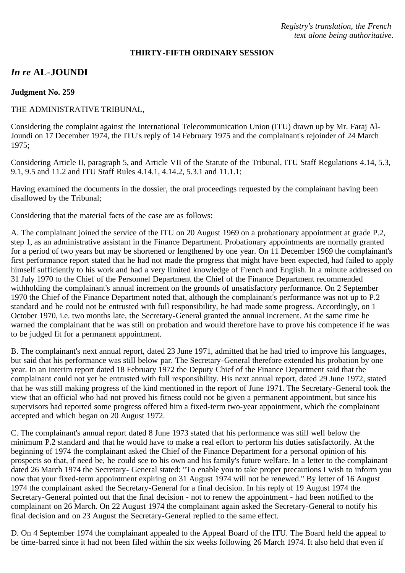*Registry's translation, the French text alone being authoritative.*

### **THIRTY-FIFTH ORDINARY SESSION**

# *In re* **AL-JOUNDI**

#### **Judgment No. 259**

### THE ADMINISTRATIVE TRIBUNAL,

Considering the complaint against the International Telecommunication Union (ITU) drawn up by Mr. Faraj Al-Joundi on 17 December 1974, the ITU's reply of 14 February 1975 and the complainant's rejoinder of 24 March 1975;

Considering Article II, paragraph 5, and Article VII of the Statute of the Tribunal, ITU Staff Regulations 4.14, 5.3, 9.1, 9.5 and 11.2 and ITU Staff Rules 4.14.1, 4.14.2, 5.3.1 and 11.1.1;

Having examined the documents in the dossier, the oral proceedings requested by the complainant having been disallowed by the Tribunal;

Considering that the material facts of the case are as follows:

A. The complainant joined the service of the ITU on 20 August 1969 on a probationary appointment at grade P.2, step 1, as an administrative assistant in the Finance Department. Probationary appointments are normally granted for a period of two years but may be shortened or lengthened by one year. On 11 December 1969 the complainant's first performance report stated that he had not made the progress that might have been expected, had failed to apply himself sufficiently to his work and had a very limited knowledge of French and English. In a minute addressed on 31 July 1970 to the Chief of the Personnel Department the Chief of the Finance Department recommended withholding the complainant's annual increment on the grounds of unsatisfactory performance. On 2 September 1970 the Chief of the Finance Department noted that, although the complainant's performance was not up to P.2 standard and he could not be entrusted with full responsibility, he had made some progress. Accordingly, on 1 October 1970, i.e. two months late, the Secretary-General granted the annual increment. At the same time he warned the complainant that he was still on probation and would therefore have to prove his competence if he was to be judged fit for a permanent appointment.

B. The complainant's next annual report, dated 23 June 1971, admitted that he had tried to improve his languages, but said that his performance was still below par. The Secretary-General therefore extended his probation by one year. In an interim report dated 18 February 1972 the Deputy Chief of the Finance Department said that the complainant could not yet be entrusted with full responsibility. His next annual report, dated 29 June 1972, stated that he was still making progress of the kind mentioned in the report of June 1971. The Secretary-General took the view that an official who had not proved his fitness could not be given a permanent appointment, but since his supervisors had reported some progress offered him a fixed-term two-year appointment, which the complainant accepted and which began on 20 August 1972.

C. The complainant's annual report dated 8 June 1973 stated that his performance was still well below the minimum P.2 standard and that he would have to make a real effort to perform his duties satisfactorily. At the beginning of 1974 the complainant asked the Chief of the Finance Department for a personal opinion of his prospects so that, if need be, he could see to his own and his family's future welfare. In a letter to the complainant dated 26 March 1974 the Secretary- General stated: "To enable you to take proper precautions I wish to inform you now that your fixed-term appointment expiring on 31 August 1974 will not be renewed." By letter of 16 August 1974 the complainant asked the Secretary-General for a final decision. In his reply of 19 August 1974 the Secretary-General pointed out that the final decision - not to renew the appointment - had been notified to the complainant on 26 March. On 22 August 1974 the complainant again asked the Secretary-General to notify his final decision and on 23 August the Secretary-General replied to the same effect.

D. On 4 September 1974 the complainant appealed to the Appeal Board of the ITU. The Board held the appeal to be time-barred since it had not been filed within the six weeks following 26 March 1974. It also held that even if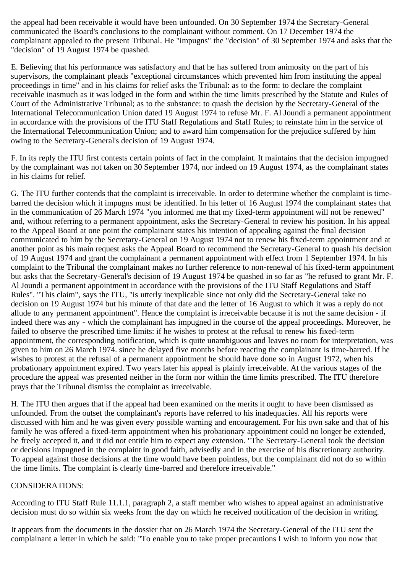the appeal had been receivable it would have been unfounded. On 30 September 1974 the Secretary-General communicated the Board's conclusions to the complainant without comment. On 17 December 1974 the complainant appealed to the present Tribunal. He "impugns" the "decision" of 30 September 1974 and asks that the "decision" of 19 August 1974 be quashed.

E. Believing that his performance was satisfactory and that he has suffered from animosity on the part of his supervisors, the complainant pleads "exceptional circumstances which prevented him from instituting the appeal proceedings in time" and in his claims for relief asks the Tribunal: as to the form: to declare the complaint receivable inasmuch as it was lodged in the form and within the time limits prescribed by the Statute and Rules of Court of the Administrative Tribunal; as to the substance: to quash the decision by the Secretary-General of the International Telecommunication Union dated 19 August 1974 to refuse Mr. F. Al Joundi a permanent appointment in accordance with the provisions of the ITU Staff Regulations and Staff Rules; to reinstate him in the service of the International Telecommunication Union; and to award him compensation for the prejudice suffered by him owing to the Secretary-General's decision of 19 August 1974.

F. In its reply the ITU first contests certain points of fact in the complaint. It maintains that the decision impugned by the complainant was not taken on 30 September 1974, nor indeed on 19 August 1974, as the complainant states in his claims for relief.

G. The ITU further contends that the complaint is irreceivable. In order to determine whether the complaint is timebarred the decision which it impugns must be identified. In his letter of 16 August 1974 the complainant states that in the communication of 26 March 1974 "you informed me that my fixed-term appointment will not be renewed" and, without referring to a permanent appointment, asks the Secretary-General to review his position. In his appeal to the Appeal Board at one point the complainant states his intention of appealing against the final decision communicated to him by the Secretary-General on 19 August 1974 not to renew his fixed-term appointment and at another point as his main request asks the Appeal Board to recommend the Secretary-General to quash his decision of 19 August 1974 and grant the complainant a permanent appointment with effect from 1 September 1974. In his complaint to the Tribunal the complainant makes no further reference to non-renewal of his fixed-term appointment but asks that the Secretary-General's decision of 19 August 1974 be quashed in so far as "he refused to grant Mr. F. Al Joundi a permanent appointment in accordance with the provisions of the ITU Staff Regulations and Staff Rules". "This claim", says the ITU, "is utterly inexplicable since not only did the Secretary-General take no decision on 19 August 1974 but his minute of that date and the letter of 16 August to which it was a reply do not allude to any permanent appointment". Hence the complaint is irreceivable because it is not the same decision - if indeed there was any - which the complainant has impugned in the course of the appeal proceedings. Moreover, he failed to observe the prescribed time limits: if he wishes to protest at the refusal to renew his fixed-term appointment, the corresponding notification, which is quite unambiguous and leaves no room for interpretation, was given to him on 26 March 1974. since he delayed five months before reacting the complainant is time-barred. If he wishes to protest at the refusal of a permanent appointment he should have done so in August 1972, when his probationary appointment expired. Two years later his appeal is plainly irreceivable. At the various stages of the procedure the appeal was presented neither in the form nor within the time limits prescribed. The ITU therefore prays that the Tribunal dismiss the complaint as irreceivable.

H. The ITU then argues that if the appeal had been examined on the merits it ought to have been dismissed as unfounded. From the outset the complainant's reports have referred to his inadequacies. All his reports were discussed with him and he was given every possible warning and encouragement. For his own sake and that of his family he was offered a fixed-term appointment when his probationary appointment could no longer be extended, he freely accepted it, and it did not entitle him to expect any extension. "The Secretary-General took the decision or decisions impugned in the complaint in good faith, advisedly and in the exercise of his discretionary authority. To appeal against those decisions at the time would have been pointless, but the complainant did not do so within the time limits. The complaint is clearly time-barred and therefore irreceivable."

## CONSIDERATIONS:

According to ITU Staff Rule 11.1.1, paragraph 2, a staff member who wishes to appeal against an administrative decision must do so within six weeks from the day on which he received notification of the decision in writing.

It appears from the documents in the dossier that on 26 March 1974 the Secretary-General of the ITU sent the complainant a letter in which he said: "To enable you to take proper precautions I wish to inform you now that